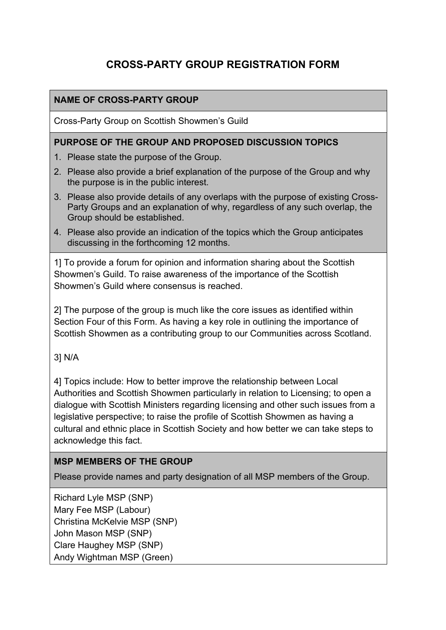# **CROSS-PARTY GROUP REGISTRATION FORM**

## **NAME OF CROSS-PARTY GROUP**

Cross-Party Group on Scottish Showmen's Guild

#### **PURPOSE OF THE GROUP AND PROPOSED DISCUSSION TOPICS**

- 1. Please state the purpose of the Group.
- 2. Please also provide a brief explanation of the purpose of the Group and why the purpose is in the public interest.
- 3. Please also provide details of any overlaps with the purpose of existing Cross-Party Groups and an explanation of why, regardless of any such overlap, the Group should be established.
- 4. Please also provide an indication of the topics which the Group anticipates discussing in the forthcoming 12 months.

1] To provide a forum for opinion and information sharing about the Scottish Showmen's Guild. To raise awareness of the importance of the Scottish Showmen's Guild where consensus is reached.

2] The purpose of the group is much like the core issues as identified within Section Four of this Form. As having a key role in outlining the importance of Scottish Showmen as a contributing group to our Communities across Scotland.

#### 3] N/A

4] Topics include: How to better improve the relationship between Local Authorities and Scottish Showmen particularly in relation to Licensing; to open a dialogue with Scottish Ministers regarding licensing and other such issues from a legislative perspective; to raise the profile of Scottish Showmen as having a cultural and ethnic place in Scottish Society and how better we can take steps to acknowledge this fact.

#### **MSP MEMBERS OF THE GROUP**

Please provide names and party designation of all MSP members of the Group.

Richard Lyle MSP (SNP) Mary Fee MSP (Labour) Christina McKelvie MSP (SNP) John Mason MSP (SNP) Clare Haughey MSP (SNP) Andy Wightman MSP (Green)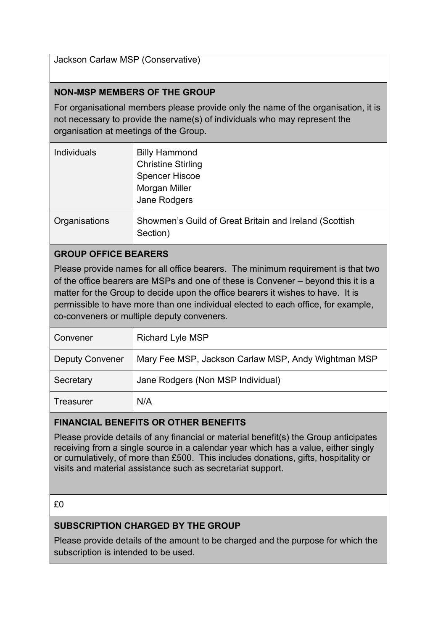Jackson Carlaw MSP (Conservative)

#### **NON-MSP MEMBERS OF THE GROUP**

For organisational members please provide only the name of the organisation, it is not necessary to provide the name(s) of individuals who may represent the organisation at meetings of the Group.

| <b>Individuals</b> | <b>Billy Hammond</b><br><b>Christine Stirling</b><br><b>Spencer Hiscoe</b><br>Morgan Miller<br>Jane Rodgers |
|--------------------|-------------------------------------------------------------------------------------------------------------|
| Organisations      | Showmen's Guild of Great Britain and Ireland (Scottish<br>Section)                                          |

#### **GROUP OFFICE BEARERS**

Please provide names for all office bearers. The minimum requirement is that two of the office bearers are MSPs and one of these is Convener – beyond this it is a matter for the Group to decide upon the office bearers it wishes to have. It is permissible to have more than one individual elected to each office, for example, co-conveners or multiple deputy conveners.

| Convener               | <b>Richard Lyle MSP</b>                             |
|------------------------|-----------------------------------------------------|
| <b>Deputy Convener</b> | Mary Fee MSP, Jackson Carlaw MSP, Andy Wightman MSP |
| Secretary              | Jane Rodgers (Non MSP Individual)                   |
| <b>Treasurer</b>       | N/A                                                 |

#### **FINANCIAL BENEFITS OR OTHER BENEFITS**

Please provide details of any financial or material benefit(s) the Group anticipates receiving from a single source in a calendar year which has a value, either singly or cumulatively, of more than £500. This includes donations, gifts, hospitality or visits and material assistance such as secretariat support.

#### **SUBSCRIPTION CHARGED BY THE GROUP**

Please provide details of the amount to be charged and the purpose for which the subscription is intended to be used.

<sup>£0</sup>